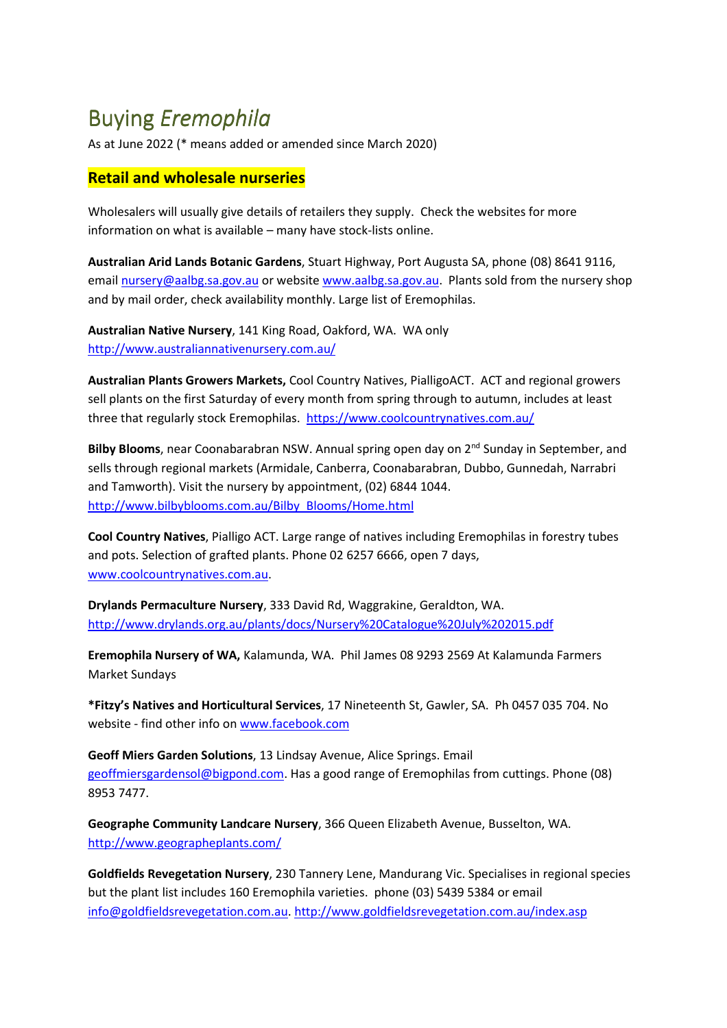## Buying *Eremophila*

As at June 2022 (\* means added or amended since March 2020)

## **Retail and wholesale nurseries**

Wholesalers will usually give details of retailers they supply. Check the websites for more information on what is available – many have stock-lists online.

**Australian Arid Lands Botanic Gardens**, Stuart Highway, Port Augusta SA, phone (08) 8641 9116, email nursery@aalbg.sa.gov.au or website www.aalbg.sa.gov.au. Plants sold from the nursery shop and by mail order, check availability monthly. Large list of Eremophilas.

**Australian Native Nursery**, 141 King Road, Oakford, WA.WA only http://www.australiannativenursery.com.au/

**Australian Plants Growers Markets,** Cool Country Natives, PialligoACT. ACT and regional growers sell plants on the first Saturday of every month from spring through to autumn, includes at least three that regularly stock Eremophilas.https://www.coolcountrynatives.com.au/

Bilby Blooms, near Coonabarabran NSW. Annual spring open day on 2<sup>nd</sup> Sunday in September, and sells through regional markets (Armidale, Canberra, Coonabarabran, Dubbo, Gunnedah, Narrabri and Tamworth). Visit the nursery by appointment, (02) 6844 1044. http://www.bilbyblooms.com.au/Bilby\_Blooms/Home.html

**Cool Country Natives**, Pialligo ACT. Large range of natives including Eremophilas in forestry tubes and pots. Selection of grafted plants. Phone 02 6257 6666, open 7 days, www.coolcountrynatives.com.au.

**Drylands Permaculture Nursery**, 333 David Rd, Waggrakine, Geraldton, WA. http://www.drylands.org.au/plants/docs/Nursery%20Catalogue%20July%202015.pdf

**Eremophila Nursery of WA,** Kalamunda, WA. Phil James 08 9293 2569 At Kalamunda Farmers Market Sundays

**\*Fitzy's Natives and Horticultural Services**, 17 Nineteenth St, Gawler, SA. Ph 0457 035 704. No website - find other info on www.facebook.com

**Geoff Miers Garden Solutions**, 13 Lindsay Avenue, Alice Springs. Email geoffmiersgardensol@bigpond.com. Has a good range of Eremophilas from cuttings. Phone (08) 8953 7477.

**Geographe Community Landcare Nursery**, 366 Queen Elizabeth Avenue, Busselton, WA. http://www.geographeplants.com/

**Goldfields Revegetation Nursery**, 230 Tannery Lene, Mandurang Vic. Specialises in regional species but the plant list includes 160 Eremophila varieties. phone (03) 5439 5384 or email info@goldfieldsrevegetation.com.au. http://www.goldfieldsrevegetation.com.au/index.asp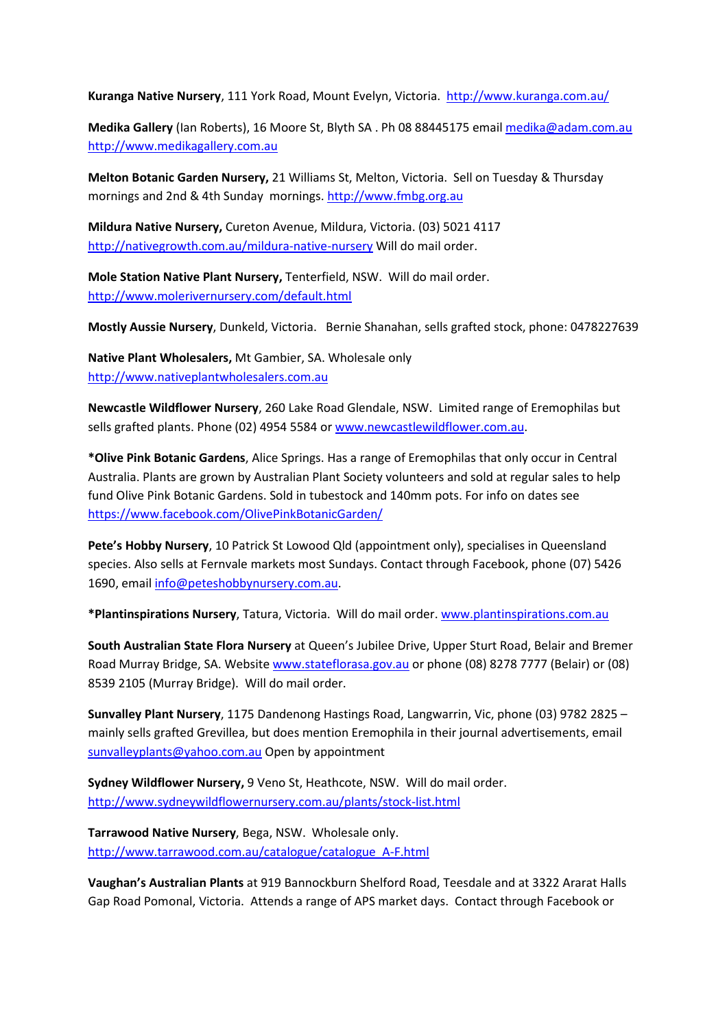**Kuranga Native Nursery**, 111 York Road, Mount Evelyn, Victoria. http://www.kuranga.com.au/

**Medika Gallery** (Ian Roberts), 16 Moore St, Blyth SA . Ph 08 88445175 email medika@adam.com.au http://www.medikagallery.com.au

**Melton Botanic Garden Nursery,** 21 Williams St, Melton, Victoria. Sell on Tuesday & Thursday mornings and 2nd & 4th Sunday mornings. http://www.fmbg.org.au

**Mildura Native Nursery,** Cureton Avenue, Mildura, Victoria. (03) 5021 4117 http://nativegrowth.com.au/mildura-native-nursery Will do mail order.

**Mole Station Native Plant Nursery,** Tenterfield, NSW. Will do mail order. http://www.molerivernursery.com/default.html

**Mostly Aussie Nursery**, Dunkeld, Victoria. Bernie Shanahan, sells grafted stock, phone: 0478227639

**Native Plant Wholesalers,** Mt Gambier, SA. Wholesale only http://www.nativeplantwholesalers.com.au

**Newcastle Wildflower Nursery**, 260 Lake Road Glendale, NSW. Limited range of Eremophilas but sells grafted plants. Phone (02) 4954 5584 or www.newcastlewildflower.com.au.

**\*Olive Pink Botanic Gardens**, Alice Springs. Has a range of Eremophilas that only occur in Central Australia. Plants are grown by Australian Plant Society volunteers and sold at regular sales to help fund Olive Pink Botanic Gardens. Sold in tubestock and 140mm pots. For info on dates see https://www.facebook.com/OlivePinkBotanicGarden/

**Pete's Hobby Nursery**, 10 Patrick St Lowood Qld (appointment only), specialises in Queensland species. Also sells at Fernvale markets most Sundays. Contact through Facebook, phone (07) 5426 1690, email info@peteshobbynursery.com.au.

**\*Plantinspirations Nursery**, Tatura, Victoria. Will do mail order. www.plantinspirations.com.au

**South Australian State Flora Nursery** at Queen's Jubilee Drive, Upper Sturt Road, Belair and Bremer Road Murray Bridge, SA. Website www.stateflorasa.gov.au or phone (08) 8278 7777 (Belair) or (08) 8539 2105 (Murray Bridge). Will do mail order.

**Sunvalley Plant Nursery**, 1175 Dandenong Hastings Road, Langwarrin, Vic, phone (03) 9782 2825 – mainly sells grafted Grevillea, but does mention Eremophila in their journal advertisements, email sunvalleyplants@yahoo.com.au Open by appointment

**Sydney Wildflower Nursery,** 9 Veno St, Heathcote, NSW.Will do mail order. http://www.sydneywildflowernursery.com.au/plants/stock-list.html

**Tarrawood Native Nursery**, Bega, NSW.Wholesale only. http://www.tarrawood.com.au/catalogue/catalogue\_A-F.html

**Vaughan's Australian Plants** at 919 Bannockburn Shelford Road, Teesdale and at 3322 Ararat Halls Gap Road Pomonal, Victoria. Attends a range of APS market days. Contact through Facebook or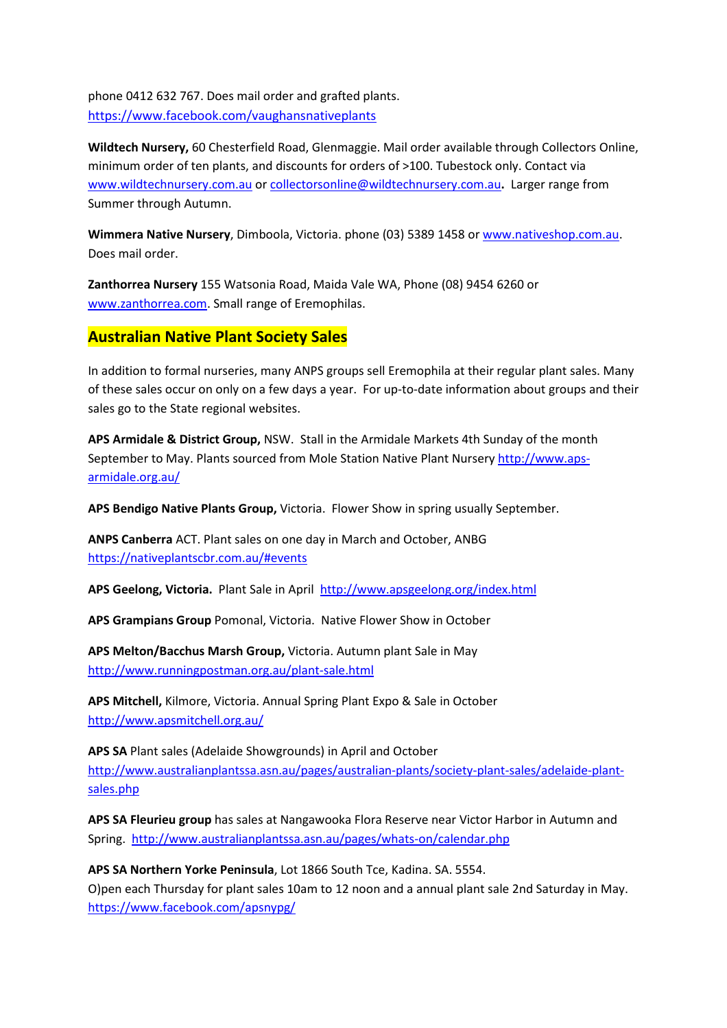phone 0412 632 767. Does mail order and grafted plants. https://www.facebook.com/vaughansnativeplants

**Wildtech Nursery,** 60 Chesterfield Road, Glenmaggie. Mail order available through Collectors Online, minimum order of ten plants, and discounts for orders of >100. Tubestock only. Contact via www.wildtechnursery.com.au or collectorsonline@wildtechnursery.com.au**.** Larger range from Summer through Autumn.

**Wimmera Native Nursery**, Dimboola, Victoria. phone (03) 5389 1458 or www.nativeshop.com.au. Does mail order.

**Zanthorrea Nursery** 155 Watsonia Road, Maida Vale WA, Phone (08) 9454 6260 or www.zanthorrea.com. Small range of Eremophilas.

## **Australian Native Plant Society Sales**

In addition to formal nurseries, many ANPS groups sell Eremophila at their regular plant sales. Many of these sales occur on only on a few days a year. For up-to-date information about groups and their sales go to the State regional websites.

**APS Armidale & District Group,** NSW. Stall in the Armidale Markets 4th Sunday of the month September to May. Plants sourced from Mole Station Native Plant Nursery http://www.apsarmidale.org.au/

**APS Bendigo Native Plants Group,** Victoria. Flower Show in spring usually September.

**ANPS Canberra** ACT. Plant sales on one day in March and October, ANBG https://nativeplantscbr.com.au/#events

APS Geelong, Victoria. Plant Sale in April http://www.apsgeelong.org/index.html

**APS Grampians Group** Pomonal, Victoria. Native Flower Show in October

**APS Melton/Bacchus Marsh Group,** Victoria. Autumn plant Sale in May http://www.runningpostman.org.au/plant-sale.html

**APS Mitchell,** Kilmore, Victoria. Annual Spring Plant Expo & Sale in October http://www.apsmitchell.org.au/

**APS SA** Plant sales (Adelaide Showgrounds) in April and October http://www.australianplantssa.asn.au/pages/australian-plants/society-plant-sales/adelaide-plantsales.php

**APS SA Fleurieu group** has sales at Nangawooka Flora Reserve near Victor Harbor in Autumn and Spring.http://www.australianplantssa.asn.au/pages/whats-on/calendar.php

**APS SA Northern Yorke Peninsula**, Lot 1866 South Tce, Kadina. SA. 5554. O)pen each Thursday for plant sales 10am to 12 noon and a annual plant sale 2nd Saturday in May. https://www.facebook.com/apsnypg/